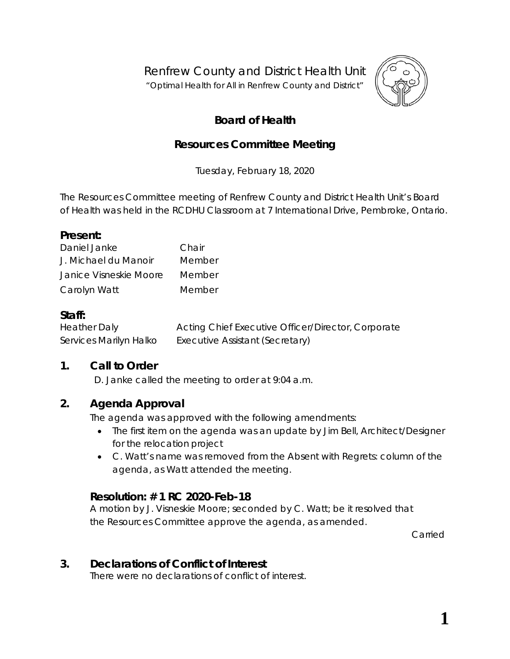Renfrew County and District Health Unit

"*Optimal Health for All in Renfrew County and District"*



# **Board of Health**

# **Resources Committee Meeting**

Tuesday, February 18, 2020

The Resources Committee meeting of Renfrew County and District Health Unit's Board of Health was held in the RCDHU Classroom at 7 International Drive, Pembroke, Ontario.

#### **Present:**

| Daniel Janke           | Chair  |
|------------------------|--------|
| J. Michael du Manoir   | Member |
| Janice Visneskie Moore | Member |
| Carolyn Watt           | Member |

### **Staff:**

Heather Daly Acting Chief Executive Officer/Director, Corporate Services Marilyn Halko Executive Assistant (Secretary)

# **1. Call to Order**

D. Janke called the meeting to order at 9:04 a.m.

# **2. Agenda Approval**

The agenda was approved with the following amendments:

- The first item on the agenda was an update by Jim Bell, Architect/Designer for the relocation project
- C. Watt's name was removed from the *Absent with Regrets:* column of the agenda, as Watt attended the meeting.

# **Resolution: # 1 RC 2020-Feb-18**

A motion by J. Visneskie Moore; seconded by C. Watt; be it resolved that the Resources Committee approve the agenda, as amended.

Carried

# **3. Declarations of Conflict of Interest**

There were no declarations of conflict of interest.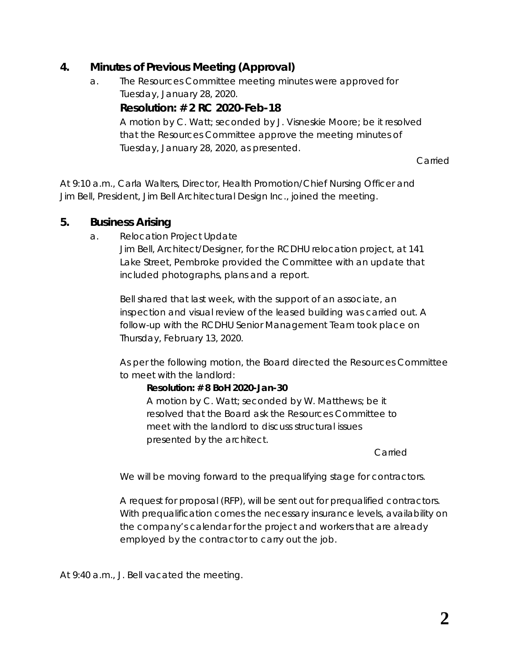# **4. Minutes of Previous Meeting (Approval)**

a. The Resources Committee meeting minutes were approved for Tuesday, January 28, 2020.

### **Resolution: # 2 RC 2020-Feb-18**

A motion by C. Watt; seconded by J. Visneskie Moore; be it resolved that the Resources Committee approve the meeting minutes of Tuesday, January 28, 2020, as presented.

Carried

At 9:10 a.m., Carla Walters, Director, Health Promotion/Chief Nursing Officer and Jim Bell, President, Jim Bell Architectural Design Inc., joined the meeting.

### **5. Business Arising**

a. Relocation Project Update

Jim Bell, Architect/Designer, for the RCDHU relocation project, at 141 Lake Street, Pembroke provided the Committee with an update that included photographs, plans and a report.

Bell shared that last week, with the support of an associate, an inspection and visual review of the leased building was carried out. A follow-up with the RCDHU Senior Management Team took place on Thursday, February 13, 2020.

As per the following motion, the Board directed the Resources Committee to meet with the landlord:

#### *Resolution: # 8 BoH 2020-Jan-30*

*A motion by C. Watt; seconded by W. Matthews; be it resolved that the Board ask the Resources Committee to meet with the landlord to discuss structural issues presented by the architect.*

*Carried*

We will be moving forward to the prequalifying stage for contractors.

A request for proposal (RFP), will be sent out for prequalified contractors. With prequalification comes the necessary insurance levels, availability on the company's calendar for the project and workers that are already employed by the contractor to carry out the job.

At 9:40 a.m., J. Bell vacated the meeting.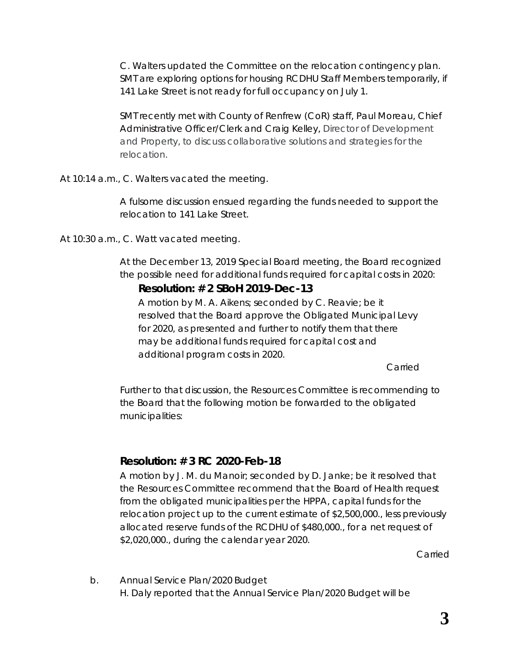C. Walters updated the Committee on the relocation contingency plan. SMT are exploring options for housing RCDHU Staff Members temporarily, if 141 Lake Street is not ready for full occupancy on July 1.

SMT recently met with County of Renfrew (CoR) staff, Paul Moreau, Chief Administrative Officer/Clerk and Craig Kelley, Director of Development and Property, to discuss collaborative solutions and strategies for the relocation.

At 10:14 a.m., C. Walters vacated the meeting.

A fulsome discussion ensued regarding the funds needed to support the relocation to 141 Lake Street.

At 10:30 a.m., C. Watt vacated meeting.

At the December 13, 2019 Special Board meeting, the Board recognized the possible need for additional funds required for capital costs in 2020:

# *Resolution: # 2 SBoH 2019-Dec-13*

*A motion by M. A. Aikens; seconded by C. Reavie; be it resolved that the Board approve the Obligated Municipal Levy for 2020, as presented and further to notify them that there may be additional funds required for capital cost and additional program costs in 2020.*

*Carried*

Further to that discussion, the Resources Committee is recommending to the Board that the following motion be forwarded to the obligated municipalities:

# **Resolution: # 3 RC 2020-Feb-18**

A motion by J. M. du Manoir; seconded by D. Janke; be it resolved that the Resources Committee recommend that the Board of Health request from the obligated municipalities per the HPPA, capital funds for the relocation project up to the current estimate of \$2,500,000., less previously allocated reserve funds of the RCDHU of \$480,000., for a net request of \$2,020,000., during the calendar year 2020.

Carried

b. Annual Service Plan/2020 Budget H. Daly reported that the Annual Service Plan/2020 Budget will be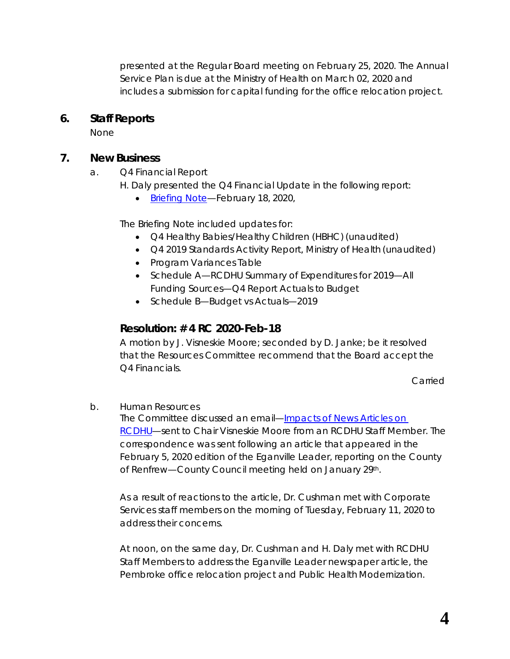presented at the Regular Board meeting on February 25, 2020. The Annual Service Plan is due at the Ministry of Health on March 02, 2020 and includes a submission for capital funding for the office relocation project.

### **6. Staff Reports**

None

# **7. New Business**

- a. Q4 Financial Report
	- H. Daly presented the *Q4 Financial Update* in the following report:
		- Briefing Note-February 18, 2020,

The Briefing Note included updates for:

- Q4 Healthy Babies/Healthy Children (HBHC) (unaudited)
- Q4 2019 Standards Activity Report, Ministry of Health (unaudited)
- Program Variances Table
- Schedule A—RCDHU Summary of Expenditures for 2019—All Funding Sources—Q4 Report Actuals to Budget
- Schedule B-Budget vs Actuals-2019

# **Resolution: # 4 RC 2020-Feb-18**

A motion by J. Visneskie Moore; seconded by D. Janke; be it resolved that the Resources Committee recommend that the Board accept the Q4 Financials.

Carried

b. Human Resources

The Committee discussed an email—*[Impacts of News Articles on](http://portal.rcdhu.com/board/wp-content/uploads/2020/02/07.-a.-Impacts-of-News-Articles-on-RCDHU.pdf)  [RCDHU](http://portal.rcdhu.com/board/wp-content/uploads/2020/02/07.-a.-Impacts-of-News-Articles-on-RCDHU.pdf)*—sent to Chair Visneskie Moore from an RCDHU Staff Member. The correspondence was sent following an article that appeared in the February 5, 2020 edition of the Eganville Leader, reporting on the County of Renfrew-County Council meeting held on January 29th.

As a result of reactions to the article, Dr. Cushman met with Corporate Services staff members on the morning of Tuesday, February 11, 2020 to address their concerns.

At noon, on the same day, Dr. Cushman and H. Daly met with RCDHU Staff Members to address the Eganville Leader newspaper article, the Pembroke office relocation project and Public Health Modernization.